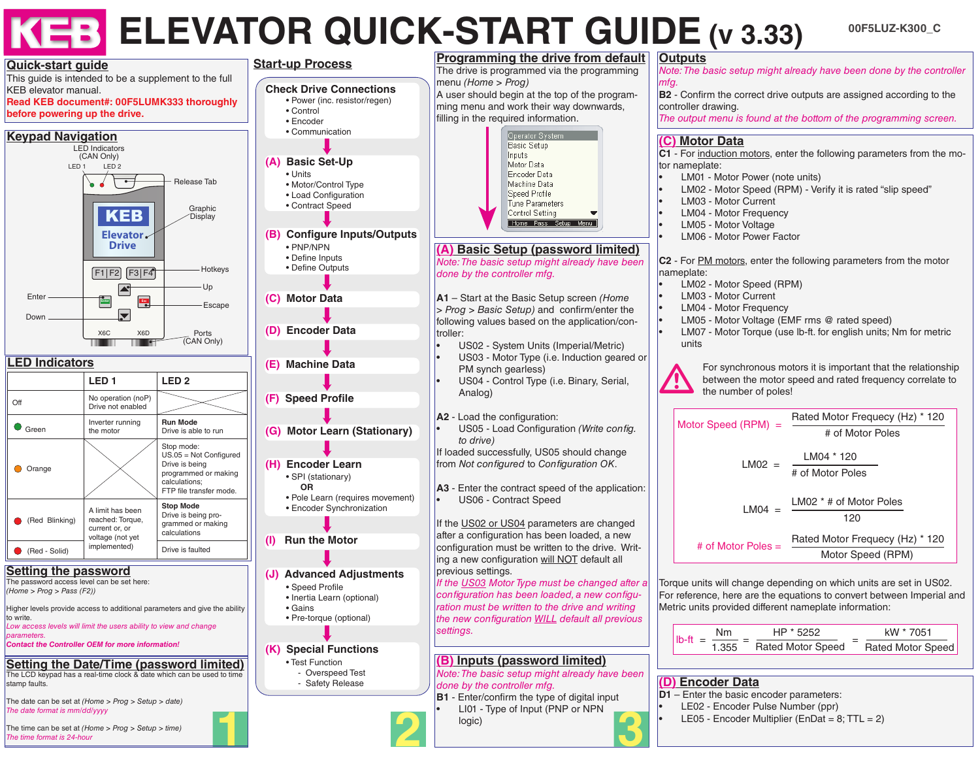# **KEB ELEVATOR QUICK-START GUIDE (v 3.33)**

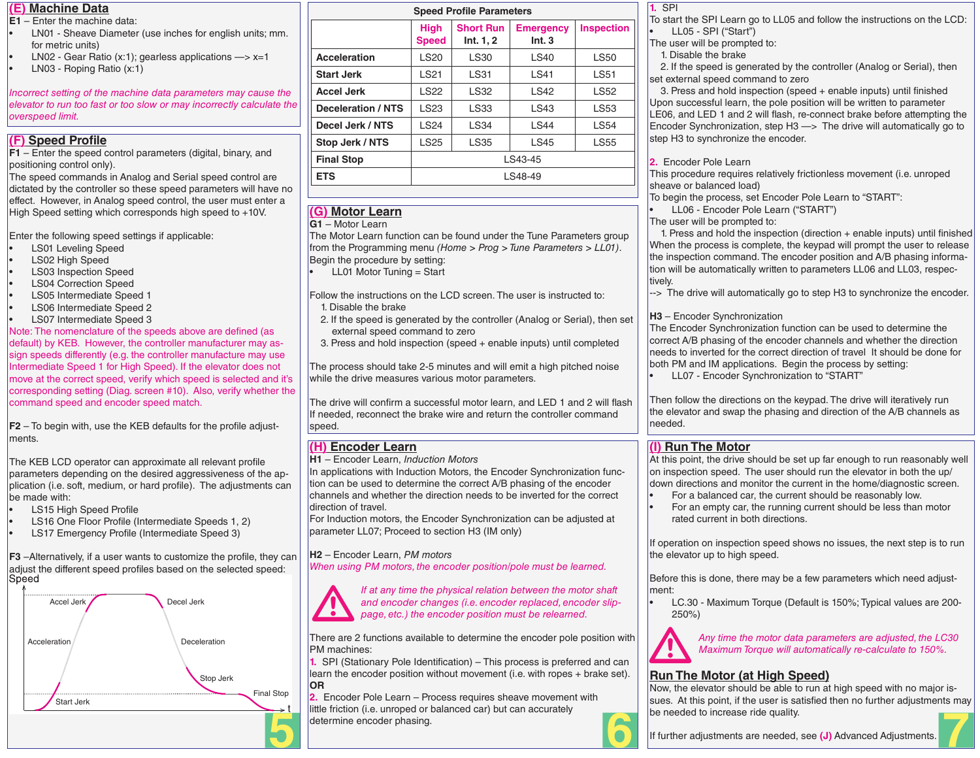### **(E) Machine Data**

- **E1** Enter the machine data:
- LN01 Sheave Diameter (use inches for english units; mm. for metric units)
- LN02 Gear Ratio (x:1); gearless applications  $\rightarrow$  x=1
- LN03 Roping Ratio (x:1)

*Incorrect setting of the machine data parameters may cause the elevator to run too fast or too slow or may incorrectly calculate the overspeed limit.*

# **(F) Speed Profile**

**F1** – Enter the speed control parameters (digital, binary, and positioning control only).

The speed commands in Analog and Serial speed control are dictated by the controller so these speed parameters will have no effect. However, in Analog speed control, the user must enter a High Speed setting which corresponds high speed to +10V.

Enter the following speed settings if applicable:

- LS01 Leveling Speed
- LS02 High Speed
- LS03 Inspection Speed
- LS04 Correction Speed
- LS05 Intermediate Speed 1
- LS06 Intermediate Speed 2
- LS07 Intermediate Speed 3

Note: The nomenclature of the speeds above are defined (as default) by KEB. However, the controller manufacturer may assign speeds differently (e.g. the controller manufacture may use Intermediate Speed 1 for High Speed). If the elevator does not move at the correct speed, verify which speed is selected and it's corresponding setting (Diag. screen #10). Also, verify whether the command speed and encoder speed match.

**F2** – To begin with, use the KEB defaults for the profile adjustments.

The KEB LCD operator can approximate all relevant profile parameters depending on the desired aggressiveness of the application (i.e. soft, medium, or hard profile). The adjustments can be made with:

- LS15 High Speed Profile
- LS16 One Floor Profile (Intermediate Speeds 1, 2)
- LS17 Emergency Profile (Intermediate Speed 3)

**F3** –Alternatively, if a user wants to customize the profile, they can adjust the different speed profiles based on the selected speed:



| <b>Speed Profile Parameters</b> |                             |                               |                           |                   |
|---------------------------------|-----------------------------|-------------------------------|---------------------------|-------------------|
|                                 | <b>High</b><br><b>Speed</b> | <b>Short Run</b><br>Int. 1, 2 | <b>Emergency</b><br>Int.3 | <b>Inspection</b> |
| Acceleration                    | <b>LS20</b>                 | <b>LS30</b>                   | <b>LS40</b>               | <b>LS50</b>       |
| <b>Start Jerk</b>               | <b>LS21</b>                 | <b>LS31</b>                   | <b>LS41</b>               | <b>LS51</b>       |
| <b>Accel Jerk</b>               | <b>LS22</b>                 | <b>LS32</b>                   | <b>LS42</b>               | <b>LS52</b>       |
| Deceleration / NTS              | <b>LS23</b>                 | <b>LS33</b>                   | <b>LS43</b>               | <b>LS53</b>       |
| Decel Jerk / NTS                | <b>LS24</b>                 | <b>LS34</b>                   | <b>LS44</b>               | <b>LS54</b>       |
| Stop Jerk / NTS                 | <b>LS25</b>                 | <b>LS35</b>                   | <b>LS45</b>               | <b>LS55</b>       |
| <b>Final Stop</b>               | LS43-45                     |                               |                           |                   |
| <b>ETS</b>                      |                             |                               | LS48-49                   |                   |
|                                 |                             |                               |                           |                   |

# **(G) Motor Learn**

# **G1** – Motor Learn

The Motor Learn function can be found under the Tune Parameters group from the Programming menu *(Home > Prog > Tune Parameters > LL01)*. Begin the procedure by setting:

• LL01 Motor Tuning = Start

Follow the instructions on the LCD screen. The user is instructed to: 1. Disable the brake

- 2. If the speed is generated by the controller (Analog or Serial), then set external speed command to zero
- 3. Press and hold inspection (speed + enable inputs) until completed

The process should take 2-5 minutes and will emit a high pitched noise while the drive measures various motor parameters.

The drive will confirm a successful motor learn, and LED 1 and 2 will flash If needed, reconnect the brake wire and return the controller command speed.

# **(H) Encoder Learn**

**H1** – Encoder Learn, *Induction Motors*

In applications with Induction Motors, the Encoder Synchronization function can be used to determine the correct A/B phasing of the encoder channels and whether the direction needs to be inverted for the correct direction of travel.

For Induction motors, the Encoder Synchronization can be adjusted at parameter LL07; Proceed to section H3 (IM only)

**H2** – Encoder Learn, *PM motors*

*When using PM motors, the encoder position/pole must be learned.*



*If at any time the physical relation between the motor shaft and encoder changes (i.e. encoder replaced, encoder slippage, etc.) the encoder position must be relearned.*

There are 2 functions available to determine the encoder pole position with PM machines:

**1.** SPI (Stationary Pole Identification) – This process is preferred and can learn the encoder position without movement (i.e. with ropes + brake set). **OR**

**2.** Encoder Pole Learn – Process requires sheave movement with little friction (i.e. unroped or balanced car) but can accurately determine encoder phasing. **5 6 7**

# **1.** SPI

To start the SPI Learn go to LL05 and follow the instructions on the LCD: • LL05 - SPI ("Start")

The user will be prompted to:

1. Disable the brake

 2. If the speed is generated by the controller (Analog or Serial), then set external speed command to zero

 3. Press and hold inspection (speed + enable inputs) until finished Upon successful learn, the pole position will be written to parameter LE06, and LED 1 and 2 will flash, re-connect brake before attempting the Encoder Synchronization, step H3 —> The drive will automatically go to step H3 to synchronize the encoder.

**2.** Encoder Pole Learn

This procedure requires relatively frictionless movement (i.e. unroped sheave or balanced load)

To begin the process, set Encoder Pole Learn to "START":

• LL06 - Encoder Pole Learn ("START")

The user will be prompted to:

 1. Press and hold the inspection (direction + enable inputs) until finished When the process is complete, the keypad will prompt the user to release the inspection command. The encoder position and A/B phasing information will be automatically written to parameters LL06 and LL03, respectively.

--> The drive will automatically go to step H3 to synchronize the encoder.

## **H3** – Encoder Synchronization

The Encoder Synchronization function can be used to determine the correct A/B phasing of the encoder channels and whether the direction needs to inverted for the correct direction of travel It should be done for both PM and IM applications. Begin the process by setting:

• LL07 - Encoder Synchronization to "START"

Then follow the directions on the keypad. The drive will iteratively run the elevator and swap the phasing and direction of the A/B channels as needed.

# **(I) Run The Motor**

At this point, the drive should be set up far enough to run reasonably well on inspection speed. The user should run the elevator in both the up/ down directions and monitor the current in the home/diagnostic screen.

- For a balanced car, the current should be reasonably low.
- For an empty car, the running current should be less than motor rated current in both directions.

If operation on inspection speed shows no issues, the next step is to run the elevator up to high speed.

Before this is done, there may be a few parameters which need adjustment:

• LC.30 - Maximum Torque (Default is 150%; Typical values are 200- 250%)



*Any time the motor data parameters are adjusted, the LC30 Maximum Torque will automatically re-calculate to 150%.* Any time the motor data parar<br>Maximum Torque will automat<br>**Run The Motor (at High Speed)** 

Now, the elevator should be able to run at high speed with no major issues. At this point, if the user is satisfied then no further adjustments may be needed to increase ride quality.



If further adjustments are needed, see **(J)** Advanced Adjustments.

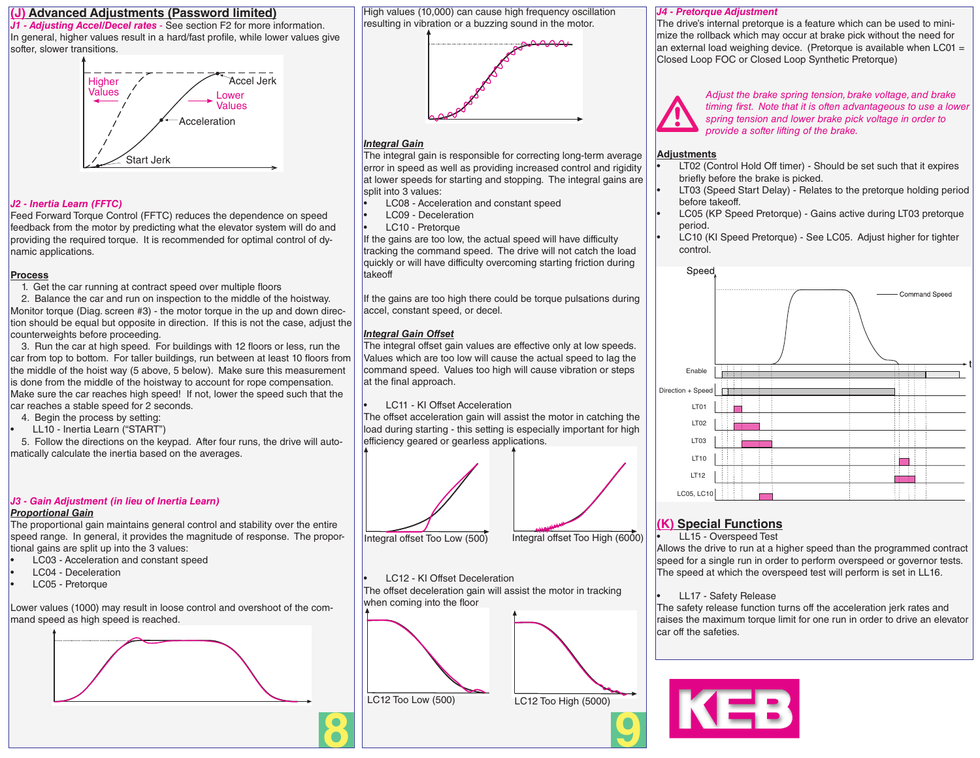#### **(J) Advanced Adjustments (Password limited)**

*J1 - Adjusting Accel/Decel rates -* See section F2 for more information. In general, higher values result in a hard/fast profile, while lower values give softer, slower transitions.



#### *J2 - Inertia Learn (FFTC)*

Feed Forward Torque Control (FFTC) reduces the dependence on speed feedback from the motor by predicting what the elevator system will do and providing the required torque. It is recommended for optimal control of dynamic applications.

#### **Process**

1. Get the car running at contract speed over multiple floors

 2. Balance the car and run on inspection to the middle of the hoistway. Monitor torque (Diag. screen #3) - the motor torque in the up and down direction should be equal but opposite in direction. If this is not the case, adjust the counterweights before proceeding.

 3. Run the car at high speed. For buildings with 12 floors or less, run the car from top to bottom. For taller buildings, run between at least 10 floors from the middle of the hoist way (5 above, 5 below). Make sure this measurement is done from the middle of the hoistway to account for rope compensation. Make sure the car reaches high speed! If not, lower the speed such that the car reaches a stable speed for 2 seconds.

- 4. Begin the process by setting:
- LL10 Inertia Learn ("START")

 5. Follow the directions on the keypad. After four runs, the drive will automatically calculate the inertia based on the averages.

#### *J3 - Gain Adjustment (in lieu of Inertia Learn)*

#### *Proportional Gain*

The proportional gain maintains general control and stability over the entire speed range. In general, it provides the magnitude of response. The proportional gains are split up into the 3 values:

- LC03 Acceleration and constant speed
- LC04 Deceleration
- LC05 Pretorque

Lower values (1000) may result in loose control and overshoot of the command speed as high speed is reached.



High values (10,000) can cause high frequency oscillation resulting in vibration or a buzzing sound in the motor.



#### *Integral Gain*

The integral gain is responsible for correcting long-term average error in speed as well as providing increased control and rigidity at lower speeds for starting and stopping. The integral gains are split into 3 values:

- LC08 Acceleration and constant speed
- LC09 Deceleration
- LC10 Pretorque

If the gains are too low, the actual speed will have difficulty tracking the command speed. The drive will not catch the load quickly or will have difficulty overcoming starting friction during takeoff

If the gains are too high there could be torque pulsations during accel, constant speed, or decel.

#### *Integral Gain Offset*

The integral offset gain values are effective only at low speeds. Values which are too low will cause the actual speed to lag the command speed. Values too high will cause vibration or steps at the final approach.

LC11 - KI Offset Acceleration

The offset acceleration gain will assist the motor in catching the load during starting - this setting is especially important for high efficiency geared or gearless applications.



LC12 - KI Offset Deceleration

The offset deceleration gain will assist the motor in tracking when coming into the floor



### *J4 - Pretorque Adjustment*

The drive's internal pretorque is a feature which can be used to minimize the rollback which may occur at brake pick without the need for an external load weighing device. (Pretorque is available when  $LCO1 =$ Closed Loop FOC or Closed Loop Synthetic Pretorque)



*Adjust the brake spring tension, brake voltage, and brake timing first. Note that it is often advantageous to use a lower spring tension and lower brake pick voltage in order to provide a softer lifting of the brake.*

#### **Adjustments**

- LT02 (Control Hold Off timer) Should be set such that it expires briefly before the brake is picked.
- LT03 (Speed Start Delay) Relates to the pretorque holding period before takeoff.
- LC05 (KP Speed Pretorque) Gains active during LT03 pretorque period.
- LC10 (KI Speed Pretorque) See LC05. Adjust higher for tighter control.



# **(K) Special Functions**

• LL15 - Overspeed Test

Allows the drive to run at a higher speed than the programmed contract speed for a single run in order to perform overspeed or governor tests. The speed at which the overspeed test will perform is set in LL16.

#### • LL17 - Safety Release

The safety release function turns off the acceleration jerk rates and raises the maximum torque limit for one run in order to drive an elevator car off the safeties.